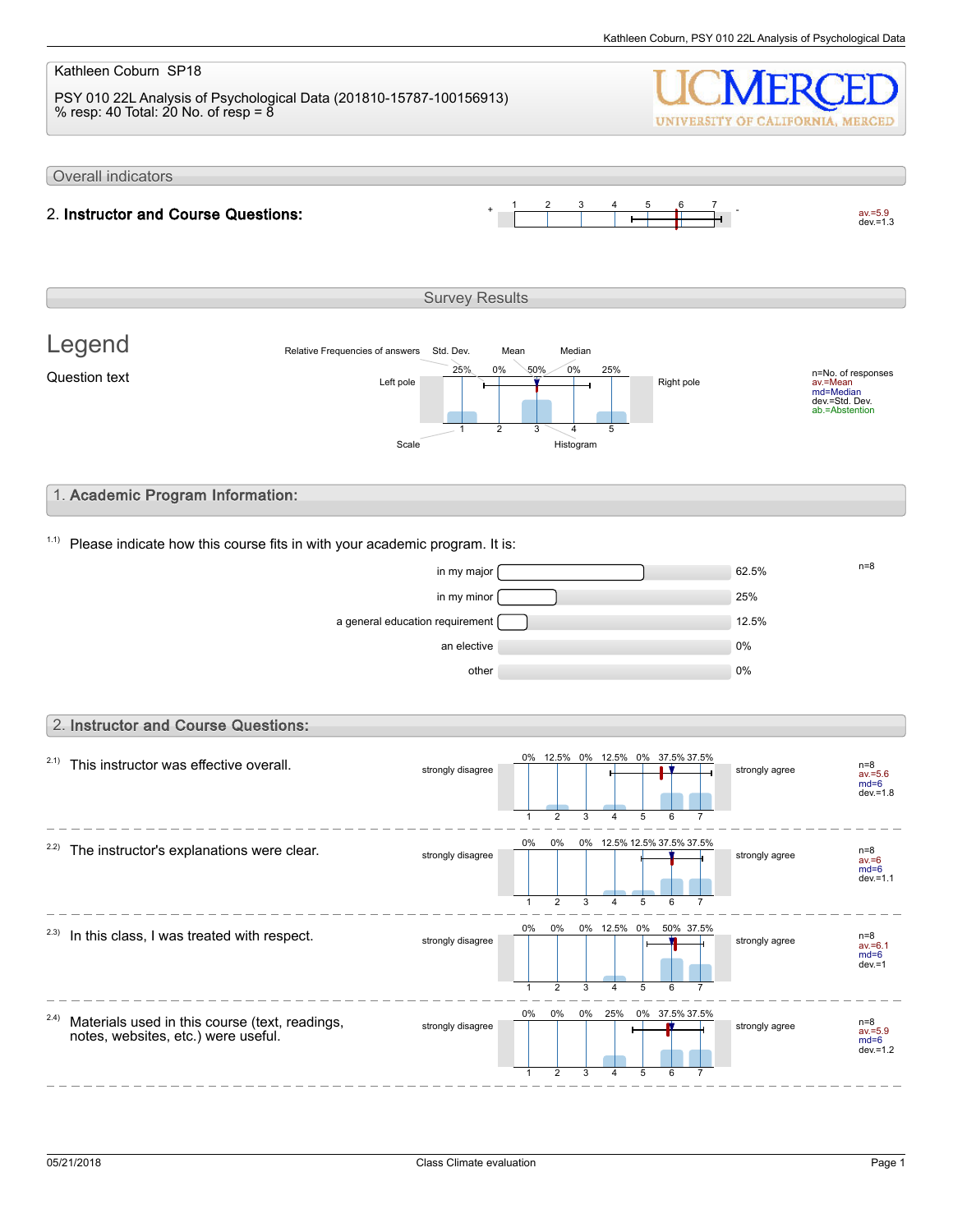#### Kathleen Coburn SP18 PSY 010 22L Analysis of Psychological Data (201810-15787-100156913) % resp: 40 Total: 20 No. of resp =  $8$ UNIVERSITY OF CALIFORNIA, MERCED Overall indicators 1 2 3 4 5 6 7  $av.=5.9$ <br>dev.=1.3 2. Instructor and Course Questions: Survey Results Legend Relative Frequencies of answers Std. Dev. Mean Median 0% 0% 50% 25% 25% n=No. of responses av.=Mean md=Median dev.=Std. Dev. ab.=Abstention Question text  $L$  and  $L$  the  $\frac{L}{L}$  and  $\frac{L}{L}$  and  $\frac{L}{L}$  Right pole 1 2 3 4 5 Scale Histogram 1. Academic Program Information:  $1.1$ ) Please indicate how this course fits in with your academic program. It is:  $\frac{1}{2}$  in my major  $\frac{1}{2}$  in my major  $\frac{1}{2}$ in my minor 25% a general education requirement 12.5% an elective and the contract of the contract of the contract of the contract of the contract of the contract of the contract of the contract of the contract of the contract of the contract of the contract of the contract o other  $0\%$ 2. Instructor and Course Questions: 0% 12.5% 0% 12.5% 0% 37.5% 37.5%  $2.1)$  This instructor was effective overall. strongly disagree strongly agree n=8 av.=5.6 md=6 dev.=1.8  $\overline{2}$ 3 5 1 4 6 7 0% 0% 0% 12.5% 12.5% 37.5% 37.5%  $2.2$ ) The instructor's explanations were clear. strongly disagree  $\frac{6}{8}$   $\frac{6}{8}$   $\frac{6}{8}$   $\frac{6}{8}$   $\frac{6}{8}$   $\frac{12.5}{6}$   $\frac{12.5}{6}$   $\frac{12.5}{3}$   $\frac{12.5}{3}$   $\frac{12.5}{3}$   $\frac{12.5}{3}$   $\frac{12.5}{3}$   $\frac{12.5}{3}$   $\frac{12.5}{3}$   $\frac{12.5}{3}$   $\frac{12.5}{3}$   $\frac{12.5}{3$ av.=6 md=6 dev.= $1.1$ 1 2 3 4 5  $\overline{6}$ 7 0% 0% 0% 12.5% 0% 50% 37.5%  $2.3)$  In this class, I was treated with respect. strongly disagree **in the strongly disagree** strongly agree av.=6.1 md=6  $dev = 1$ 1  $\mathfrak{D}$ 3 4 5 6 7 0% 0% 0% 25% 0% 37.5% 37.5% 2.4) Materials used in this course (text, readings, strongly disagree strongly agree notes, websites, etc.) were useful. av.=5.9 md=6 dev.=1.2 1 2 3 5 4 6 7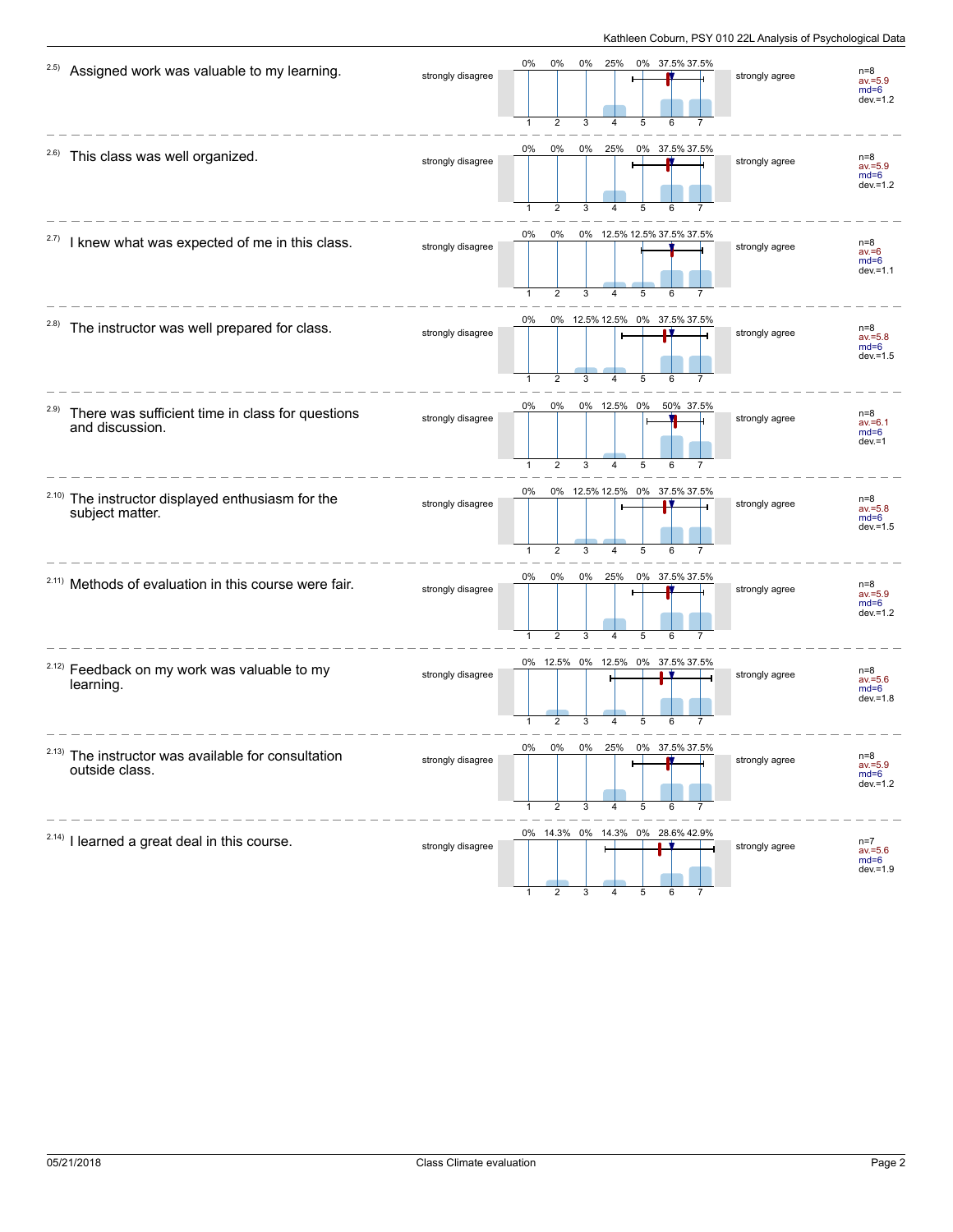| 2.5)  | Assigned work was valuable to my learning.                           | strongly disagree | 0%                 | 0%<br>2                 | 0%<br>3 | 25%              | 5 | 0% 37.5% 37.5%                     | strongly agree | $n=8$<br>$av = 5.9$<br>$md=6$<br>$dev = 1.2$ |
|-------|----------------------------------------------------------------------|-------------------|--------------------|-------------------------|---------|------------------|---|------------------------------------|----------------|----------------------------------------------|
| 2.6)  | This class was well organized.                                       | strongly disagree | 0%                 | $0\%$<br>$\overline{2}$ | 0%      | 25%              |   | 0% 37.5% 37.5%                     | strongly agree | $n=8$<br>$av = 5.9$<br>$md=6$<br>$dev = 1.2$ |
| 2.7)  | I knew what was expected of me in this class.                        | strongly disagree | 0%                 | $0\%$<br>$\overline{2}$ | 3       |                  | 5 | 0% 12.5% 12.5% 37.5% 37.5%         | strongly agree | $n=8$<br>$av = 6$<br>$md=6$<br>$dev = 1.1$   |
| (2.8) | The instructor was well prepared for class.                          | strongly disagree | 0%                 | 2                       | 3       | 4                | 5 | 0% 12.5% 12.5% 0% 37.5% 37.5%      | strongly agree | $n=8$<br>$av = 5.8$<br>$md=6$<br>$dev = 1.5$ |
| 2.9)  | There was sufficient time in class for questions<br>and discussion.  | strongly disagree | 0%<br>$\mathbf{1}$ | 0%<br>$\overline{2}$    | 3       | 0% 12.5% 0%<br>4 | 5 | 50% 37.5%                          | strongly agree | $n=8$<br>$av = 6.1$<br>$md=6$<br>$dev = 1$   |
| 2.10) | The instructor displayed enthusiasm for the<br>subject matter.       | strongly disagree | 0%<br>$\mathbf{1}$ | $\overline{2}$          | 3       | 4                | 5 | 0% 12.5% 12.5% 0% 37.5% 37.5%<br>6 | strongly agree | $n=8$<br>$av = 5.8$<br>$md=6$<br>$dev = 1.5$ |
|       | <sup>2.11)</sup> Methods of evaluation in this course were fair.     | strongly disagree | 0%                 | 0%<br>$\overline{2}$    | 0%<br>3 | 25%              | 5 | 0% 37.5% 37.5%                     | strongly agree | $n=8$<br>$av = 5.9$<br>$md=6$<br>$dev = 1.2$ |
|       | <sup>2.12)</sup> Feedback on my work was valuable to my<br>learning. | strongly disagree |                    | 2                       |         |                  | 5 | 0% 12.5% 0% 12.5% 0% 37.5% 37.5%   | strongly agree | $n=8$<br>$av = 5.6$<br>$md=6$<br>$dev = 1.8$ |
| 2.13) | The instructor was available for consultation<br>outside class.      | strongly disagree | በ%                 | በ%<br>2                 | 3       |                  | 5 |                                    | strongly agree | $n=8$<br>$av = 5.9$<br>$md=6$<br>$dev = 1.2$ |
|       | <sup>2.14)</sup> I learned a great deal in this course.              | strongly disagree |                    |                         |         |                  |   | 0% 14.3% 0% 14.3% 0% 28.6% 42.9%   | strongly agree | $n=7$<br>$av = 5.6$<br>$md=6$<br>$dev = 1.9$ |

1 2 3 4 5 6 7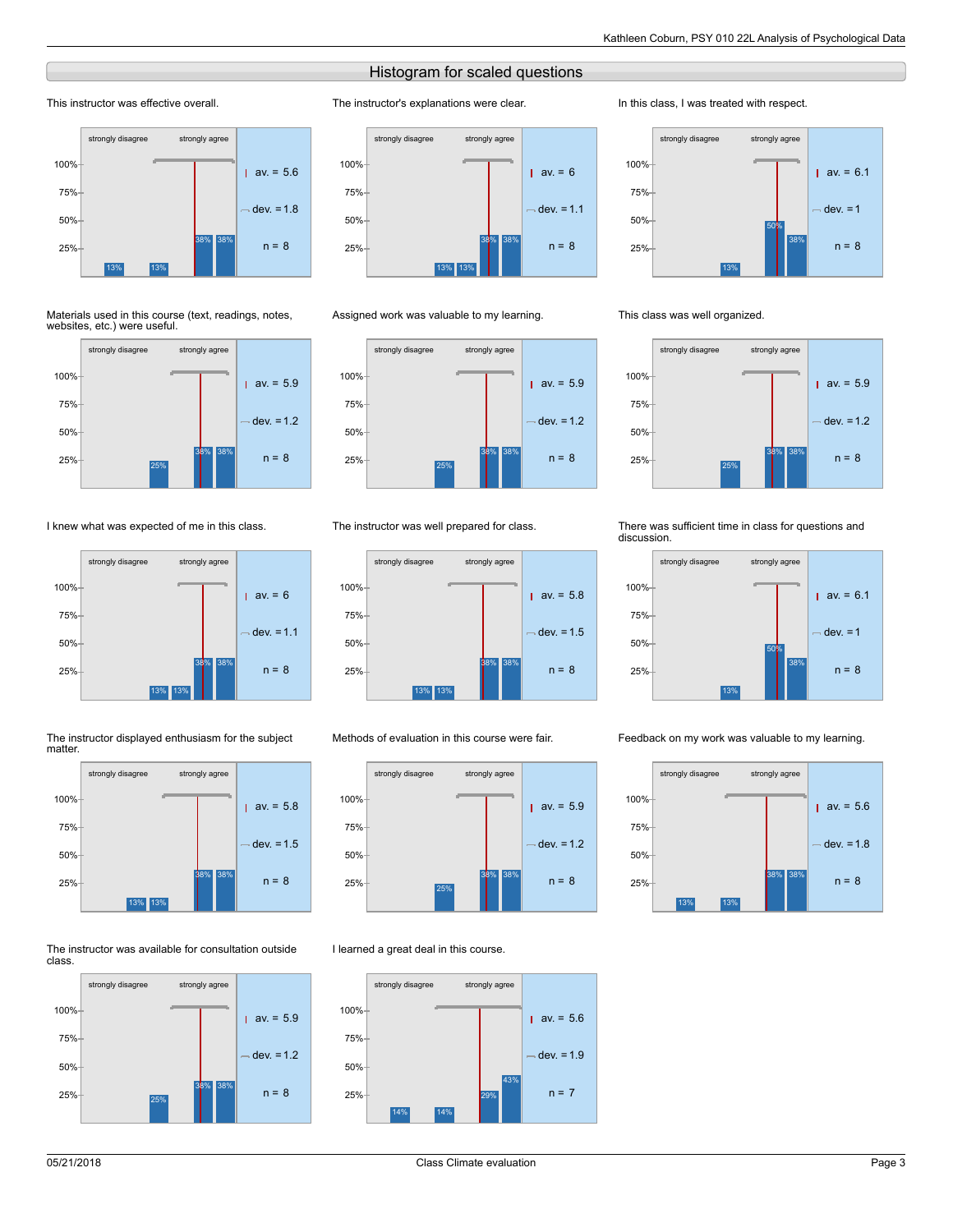# Histogram for scaled questions

The instructor's explanations were clear.

### This instructor was effective overall.



#### Materials used in this course (text, readings, notes, websites, etc.) were useful.



## I knew what was expected of me in this class.



#### The instructor displayed enthusiasm for the subject matter.



#### The instructor was available for consultation outside class.





### Assigned work was valuable to my learning.



### The instructor was well prepared for class.



#### Methods of evaluation in this course were fair.



#### I learned a great deal in this course.



#### In this class, I was treated with respect.



#### This class was well organized.



#### There was sufficient time in class for questions and discussion.



#### Feedback on my work was valuable to my learning.

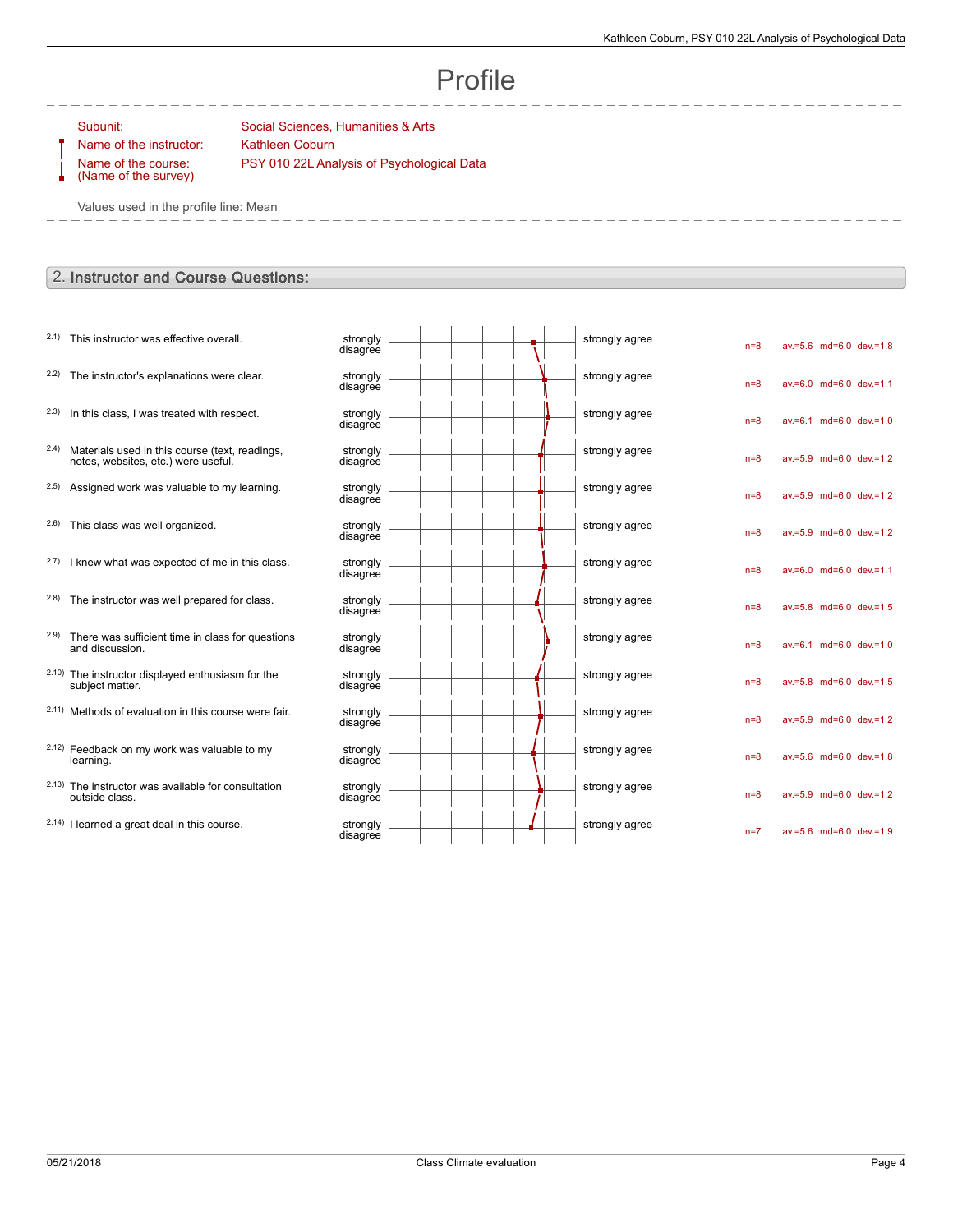# Profile

Name of the course: (Name of the survey)

Subunit: Social Sciences, Humanities & Arts Name of the instructor: Kathleen Coburn PSY 010 22L Analysis of Psychological Data

Values used in the profile line: Mean

# 2. Instructor and Course Questions:

| 2.1) This instructor was effective overall. | strongly |
|---------------------------------------------|----------|
|---------------------------------------------|----------|

 $2.2)$  The instructor's explanations were clear.

 $2.3)$  In this class, I was treated with respect.

- 2.4) Materials used in this course (text, readings, notes, websites, etc.) were useful.
- $2.5$ ) Assigned work was valuable to my learning.

 $2.6$ ) This class was well organized.

- $2.7$ ) I knew what was expected of me in this class.
- 2.8) The instructor was well prepared for class.
- 2.9) There was sufficient time in class for questions and discussion.
- 2.10) The instructor displayed enthusiasm for the subject matter.
- $2.11)$  Methods of evaluation in this course were fair.
- 2.12) Feedback on my work was valuable to my learning.
- 2.13) The instructor was available for consultation outside class.
- $2.14)$  I learned a great deal in this course.

| strongly<br>disagree |  | strongly agree | $n=8$ | $av.=5.6$ md=6.0     |  |
|----------------------|--|----------------|-------|----------------------|--|
| strongly<br>disagree |  | strongly agree | $n=8$ | $av.=6.0$ md=6.0     |  |
| strongly<br>disagree |  | strongly agree | $n=8$ | $av = 6.1$ md= $6.0$ |  |
| strongly<br>disagree |  | strongly agree | $n=8$ | $av.=5.9$ md=6.0     |  |
| strongly<br>disagree |  | strongly agree | $n=8$ | av.=5.9 md=6.0       |  |
| strongly<br>disagree |  | strongly agree | $n=8$ | $av = 5.9$ md= $6.0$ |  |
| strongly<br>disagree |  | strongly agree | $n=8$ | $av = 6.0$ md= $6.0$ |  |
| strongly<br>disagree |  | strongly agree | $n=8$ | $av.=5.8$ md=6.0     |  |
| strongly<br>disagree |  | strongly agree | $n=8$ | $av = 6.1$ md= $6.0$ |  |
| strongly<br>disagree |  | strongly agree | $n=8$ | $av = 5.8$ md= $6.0$ |  |
| strongly<br>disagree |  | strongly agree | $n=8$ | $av = 5.9$ md= $6.0$ |  |
| strongly<br>disagree |  | strongly agree | $n=8$ | $av.=5.6$ md=6.0     |  |
| strongly<br>disagree |  | strongly agree | $n=8$ | $av = 5.9$ md= $6.0$ |  |
| strongly<br>disagree |  | strongly agree | $n=7$ | $av = 5.6$ md= $6.0$ |  |

 $dev=1.8$ 

 $dev=1.1$ 

 $dev=1.0$ 

 $dev = 1.2$ 

 $dev = 1.2$ 

 $dev.=1.2$ 

 $dev = 1.1$ 

 $dev.=1.5$ 

 $dev=1.0$ 

 $dev = 1.5$ 

 $dev.=1.2$ 

 $dev=1.8$ 

 $dev=1.2$ 

 $dev=1.9$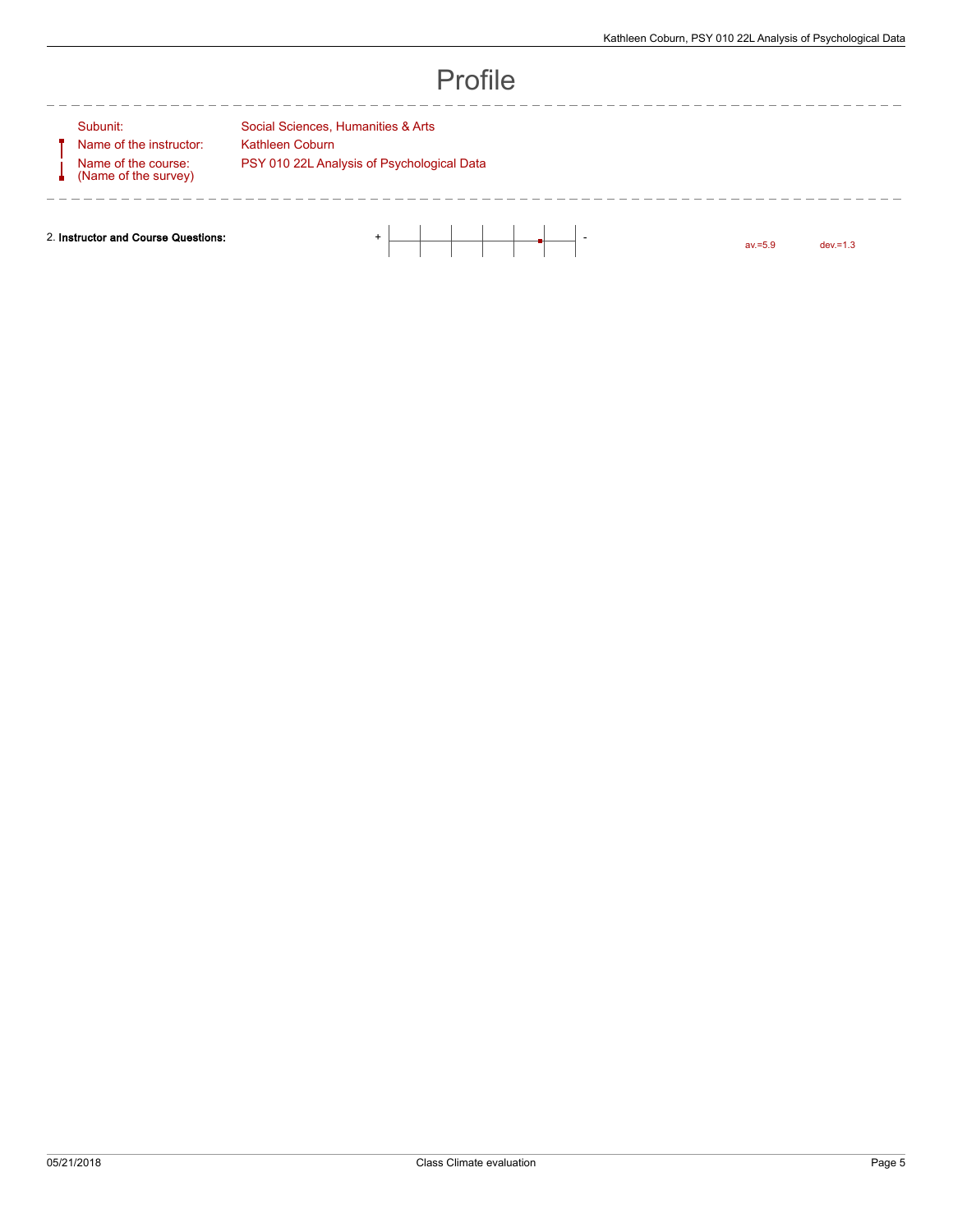# Profile

Name of the instructor: Kathleen Coburn Name of the course: (Name of the survey)

--------

Subunit: Social Sciences, Humanities & Arts PSY 010 22L Analysis of Psychological Data

2. Instructor and Course Questions: + -

av.=5.9 dev.=1.3